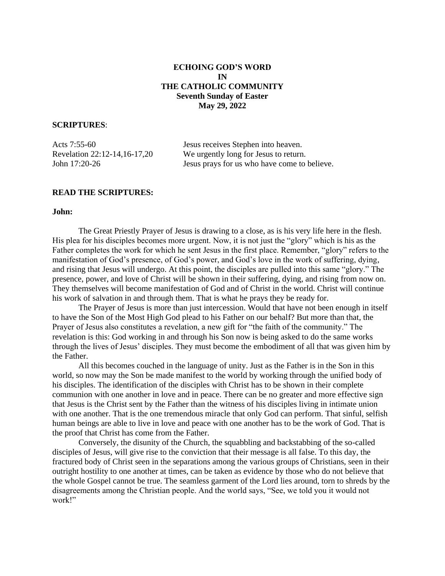# **ECHOING GOD'S WORD IN THE CATHOLIC COMMUNITY Seventh Sunday of Easter May 29, 2022**

# **SCRIPTURES**:

Acts 7:55-60 Jesus receives Stephen into heaven. Revelation 22:12-14,16-17,20 We urgently long for Jesus to return. John 17:20-26 Jesus prays for us who have come to believe.

# **READ THE SCRIPTURES:**

### **John:**

The Great Priestly Prayer of Jesus is drawing to a close, as is his very life here in the flesh. His plea for his disciples becomes more urgent. Now, it is not just the "glory" which is his as the Father completes the work for which he sent Jesus in the first place. Remember, "glory" refers to the manifestation of God's presence, of God's power, and God's love in the work of suffering, dying, and rising that Jesus will undergo. At this point, the disciples are pulled into this same "glory." The presence, power, and love of Christ will be shown in their suffering, dying, and rising from now on. They themselves will become manifestation of God and of Christ in the world. Christ will continue his work of salvation in and through them. That is what he prays they be ready for.

The Prayer of Jesus is more than just intercession. Would that have not been enough in itself to have the Son of the Most High God plead to his Father on our behalf? But more than that, the Prayer of Jesus also constitutes a revelation, a new gift for "the faith of the community." The revelation is this: God working in and through his Son now is being asked to do the same works through the lives of Jesus' disciples. They must become the embodiment of all that was given him by the Father.

All this becomes couched in the language of unity. Just as the Father is in the Son in this world, so now may the Son be made manifest to the world by working through the unified body of his disciples. The identification of the disciples with Christ has to be shown in their complete communion with one another in love and in peace. There can be no greater and more effective sign that Jesus is the Christ sent by the Father than the witness of his disciples living in intimate union with one another. That is the one tremendous miracle that only God can perform. That sinful, selfish human beings are able to live in love and peace with one another has to be the work of God. That is the proof that Christ has come from the Father.

Conversely, the disunity of the Church, the squabbling and backstabbing of the so-called disciples of Jesus, will give rise to the conviction that their message is all false. To this day, the fractured body of Christ seen in the separations among the various groups of Christians, seen in their outright hostility to one another at times, can be taken as evidence by those who do not believe that the whole Gospel cannot be true. The seamless garment of the Lord lies around, torn to shreds by the disagreements among the Christian people. And the world says, "See, we told you it would not work!"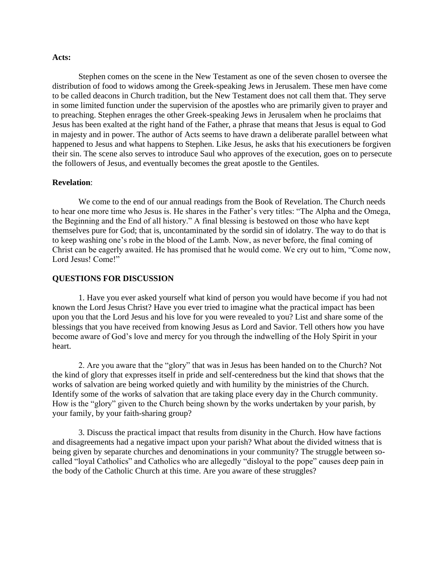#### **Acts:**

Stephen comes on the scene in the New Testament as one of the seven chosen to oversee the distribution of food to widows among the Greek-speaking Jews in Jerusalem. These men have come to be called deacons in Church tradition, but the New Testament does not call them that. They serve in some limited function under the supervision of the apostles who are primarily given to prayer and to preaching. Stephen enrages the other Greek-speaking Jews in Jerusalem when he proclaims that Jesus has been exalted at the right hand of the Father, a phrase that means that Jesus is equal to God in majesty and in power. The author of Acts seems to have drawn a deliberate parallel between what happened to Jesus and what happens to Stephen. Like Jesus, he asks that his executioners be forgiven their sin. The scene also serves to introduce Saul who approves of the execution, goes on to persecute the followers of Jesus, and eventually becomes the great apostle to the Gentiles.

#### **Revelation**:

We come to the end of our annual readings from the Book of Revelation. The Church needs to hear one more time who Jesus is. He shares in the Father's very titles: "The Alpha and the Omega, the Beginning and the End of all history." A final blessing is bestowed on those who have kept themselves pure for God; that is, uncontaminated by the sordid sin of idolatry. The way to do that is to keep washing one's robe in the blood of the Lamb. Now, as never before, the final coming of Christ can be eagerly awaited. He has promised that he would come. We cry out to him, "Come now, Lord Jesus! Come!"

#### **QUESTIONS FOR DISCUSSION**

1. Have you ever asked yourself what kind of person you would have become if you had not known the Lord Jesus Christ? Have you ever tried to imagine what the practical impact has been upon you that the Lord Jesus and his love for you were revealed to you? List and share some of the blessings that you have received from knowing Jesus as Lord and Savior. Tell others how you have become aware of God's love and mercy for you through the indwelling of the Holy Spirit in your heart.

2. Are you aware that the "glory" that was in Jesus has been handed on to the Church? Not the kind of glory that expresses itself in pride and self-centeredness but the kind that shows that the works of salvation are being worked quietly and with humility by the ministries of the Church. Identify some of the works of salvation that are taking place every day in the Church community. How is the "glory" given to the Church being shown by the works undertaken by your parish, by your family, by your faith-sharing group?

3. Discuss the practical impact that results from disunity in the Church. How have factions and disagreements had a negative impact upon your parish? What about the divided witness that is being given by separate churches and denominations in your community? The struggle between socalled "loyal Catholics" and Catholics who are allegedly "disloyal to the pope" causes deep pain in the body of the Catholic Church at this time. Are you aware of these struggles?